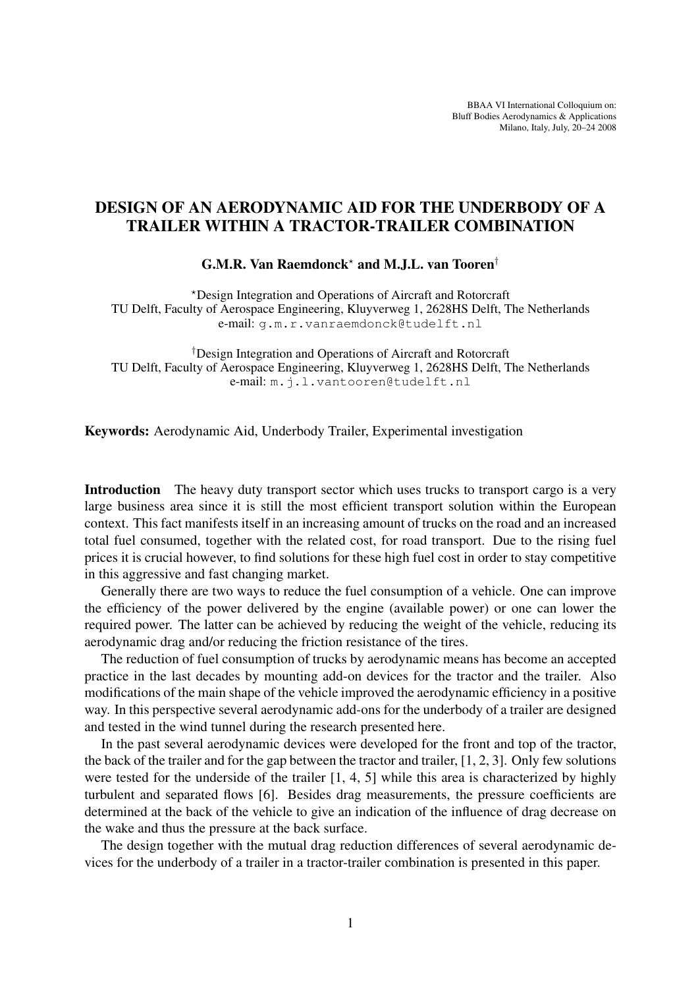BBAA VI International Colloquium on: Bluff Bodies Aerodynamics & Applications Milano, Italy, July, 20–24 2008

## DESIGN OF AN AERODYNAMIC AID FOR THE UNDERBODY OF A TRAILER WITHIN A TRACTOR-TRAILER COMBINATION

G.M.R. Van Raemdonck? and M.J.L. van Tooren†

?Design Integration and Operations of Aircraft and Rotorcraft TU Delft, Faculty of Aerospace Engineering, Kluyverweg 1, 2628HS Delft, The Netherlands e-mail: g.m.r.vanraemdonck@tudelft.nl

†Design Integration and Operations of Aircraft and Rotorcraft TU Delft, Faculty of Aerospace Engineering, Kluyverweg 1, 2628HS Delft, The Netherlands e-mail: m.j.l.vantooren@tudelft.nl

Keywords: Aerodynamic Aid, Underbody Trailer, Experimental investigation

Introduction The heavy duty transport sector which uses trucks to transport cargo is a very large business area since it is still the most efficient transport solution within the European context. This fact manifests itself in an increasing amount of trucks on the road and an increased total fuel consumed, together with the related cost, for road transport. Due to the rising fuel prices it is crucial however, to find solutions for these high fuel cost in order to stay competitive in this aggressive and fast changing market.

Generally there are two ways to reduce the fuel consumption of a vehicle. One can improve the efficiency of the power delivered by the engine (available power) or one can lower the required power. The latter can be achieved by reducing the weight of the vehicle, reducing its aerodynamic drag and/or reducing the friction resistance of the tires.

The reduction of fuel consumption of trucks by aerodynamic means has become an accepted practice in the last decades by mounting add-on devices for the tractor and the trailer. Also modifications of the main shape of the vehicle improved the aerodynamic efficiency in a positive way. In this perspective several aerodynamic add-ons for the underbody of a trailer are designed and tested in the wind tunnel during the research presented here.

In the past several aerodynamic devices were developed for the front and top of the tractor, the back of the trailer and for the gap between the tractor and trailer, [1, 2, 3]. Only few solutions were tested for the underside of the trailer [1, 4, 5] while this area is characterized by highly turbulent and separated flows [6]. Besides drag measurements, the pressure coefficients are determined at the back of the vehicle to give an indication of the influence of drag decrease on the wake and thus the pressure at the back surface.

The design together with the mutual drag reduction differences of several aerodynamic devices for the underbody of a trailer in a tractor-trailer combination is presented in this paper.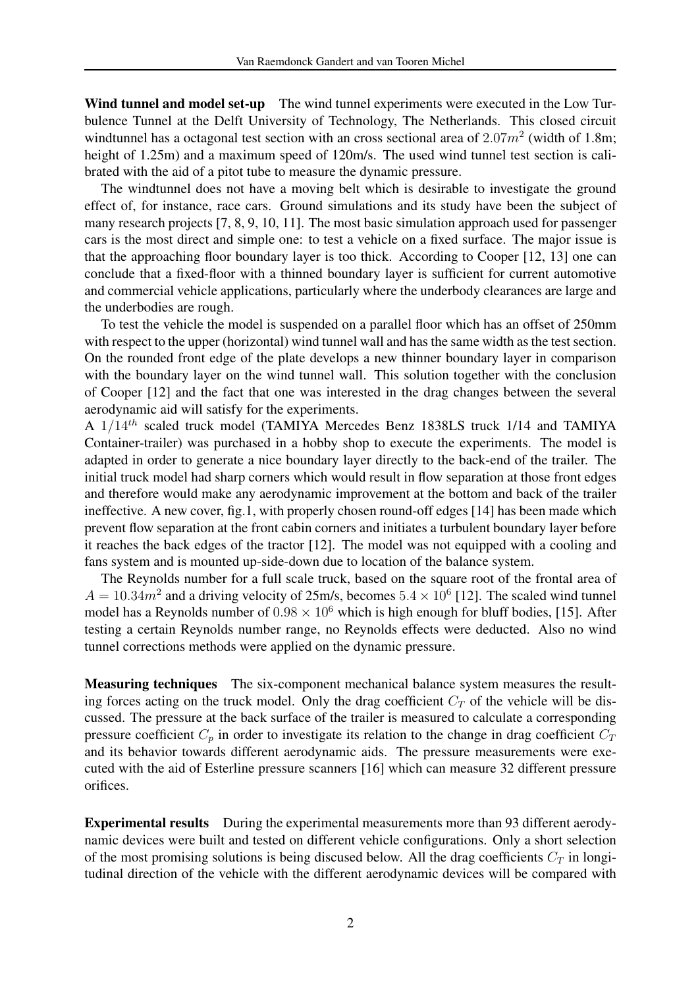Wind tunnel and model set-up The wind tunnel experiments were executed in the Low Turbulence Tunnel at the Delft University of Technology, The Netherlands. This closed circuit windtunnel has a octagonal test section with an cross sectional area of  $2.07m^2$  (width of 1.8m; height of 1.25m) and a maximum speed of 120m/s. The used wind tunnel test section is calibrated with the aid of a pitot tube to measure the dynamic pressure.

The windtunnel does not have a moving belt which is desirable to investigate the ground effect of, for instance, race cars. Ground simulations and its study have been the subject of many research projects [7, 8, 9, 10, 11]. The most basic simulation approach used for passenger cars is the most direct and simple one: to test a vehicle on a fixed surface. The major issue is that the approaching floor boundary layer is too thick. According to Cooper [12, 13] one can conclude that a fixed-floor with a thinned boundary layer is sufficient for current automotive and commercial vehicle applications, particularly where the underbody clearances are large and the underbodies are rough.

To test the vehicle the model is suspended on a parallel floor which has an offset of 250mm with respect to the upper (horizontal) wind tunnel wall and has the same width as the test section. On the rounded front edge of the plate develops a new thinner boundary layer in comparison with the boundary layer on the wind tunnel wall. This solution together with the conclusion of Cooper [12] and the fact that one was interested in the drag changes between the several aerodynamic aid will satisfy for the experiments.

A 1/14th scaled truck model (TAMIYA Mercedes Benz 1838LS truck 1/14 and TAMIYA Container-trailer) was purchased in a hobby shop to execute the experiments. The model is adapted in order to generate a nice boundary layer directly to the back-end of the trailer. The initial truck model had sharp corners which would result in flow separation at those front edges and therefore would make any aerodynamic improvement at the bottom and back of the trailer ineffective. A new cover, fig.1, with properly chosen round-off edges [14] has been made which prevent flow separation at the front cabin corners and initiates a turbulent boundary layer before it reaches the back edges of the tractor [12]. The model was not equipped with a cooling and fans system and is mounted up-side-down due to location of the balance system.

The Reynolds number for a full scale truck, based on the square root of the frontal area of  $A = 10.34m^2$  and a driving velocity of 25m/s, becomes  $5.4 \times 10^6$  [12]. The scaled wind tunnel model has a Reynolds number of  $0.98 \times 10^6$  which is high enough for bluff bodies, [15]. After testing a certain Reynolds number range, no Reynolds effects were deducted. Also no wind tunnel corrections methods were applied on the dynamic pressure.

Measuring techniques The six-component mechanical balance system measures the resulting forces acting on the truck model. Only the drag coefficient  $C_T$  of the vehicle will be discussed. The pressure at the back surface of the trailer is measured to calculate a corresponding pressure coefficient  $C_p$  in order to investigate its relation to the change in drag coefficient  $C_T$ and its behavior towards different aerodynamic aids. The pressure measurements were executed with the aid of Esterline pressure scanners [16] which can measure 32 different pressure orifices.

Experimental results During the experimental measurements more than 93 different aerodynamic devices were built and tested on different vehicle configurations. Only a short selection of the most promising solutions is being discused below. All the drag coefficients  $C_T$  in longitudinal direction of the vehicle with the different aerodynamic devices will be compared with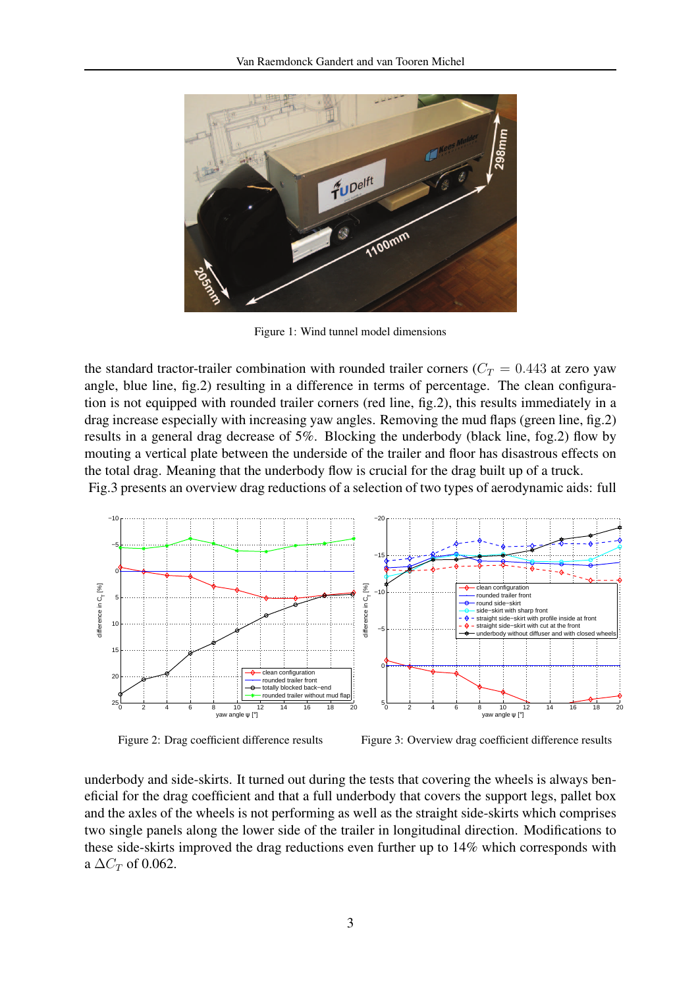

Figure 1: Wind tunnel model dimensions

the standard tractor-trailer combination with rounded trailer corners ( $C_T = 0.443$  at zero yaw angle, blue line, fig.2) resulting in a difference in terms of percentage. The clean configuration is not equipped with rounded trailer corners (red line, fig.2), this results immediately in a drag increase especially with increasing yaw angles. Removing the mud flaps (green line, fig.2) results in a general drag decrease of 5%. Blocking the underbody (black line, fog.2) flow by mouting a vertical plate between the underside of the trailer and floor has disastrous effects on the total drag. Meaning that the underbody flow is crucial for the drag built up of a truck.

Fig.3 presents an overview drag reductions of a selection of two types of aerodynamic aids: full



Figure 2: Drag coefficient difference results

Figure 3: Overview drag coefficient difference results

underbody and side-skirts. It turned out during the tests that covering the wheels is always beneficial for the drag coefficient and that a full underbody that covers the support legs, pallet box and the axles of the wheels is not performing as well as the straight side-skirts which comprises two single panels along the lower side of the trailer in longitudinal direction. Modifications to these side-skirts improved the drag reductions even further up to 14% which corresponds with a  $\Delta C_T$  of 0.062.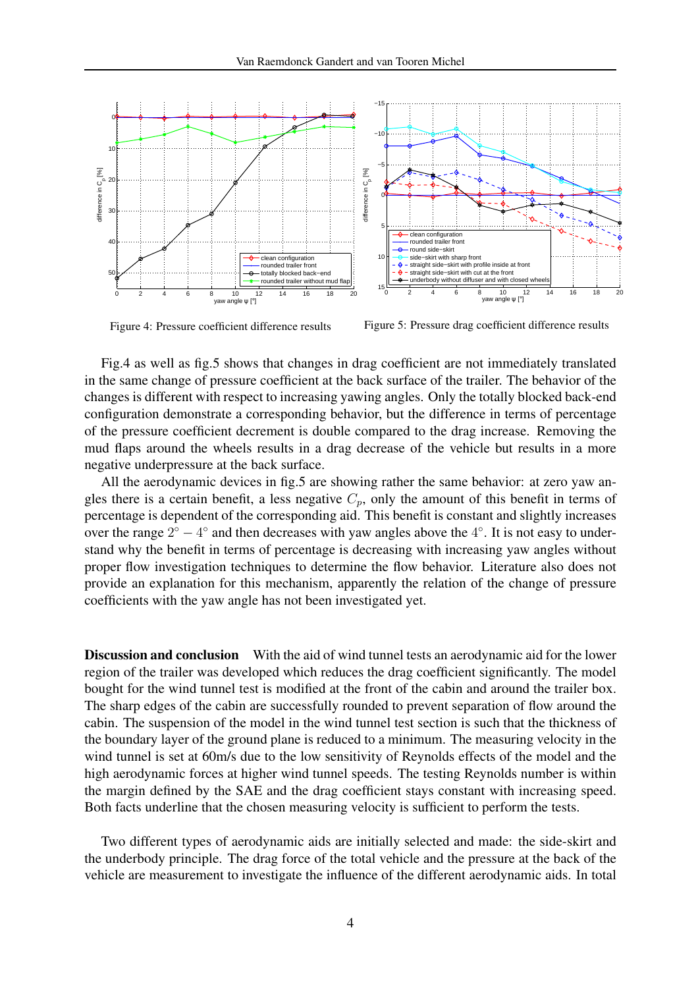

Figure 4: Pressure coefficient difference results

Figure 5: Pressure drag coefficient difference results

Fig.4 as well as fig.5 shows that changes in drag coefficient are not immediately translated in the same change of pressure coefficient at the back surface of the trailer. The behavior of the changes is different with respect to increasing yawing angles. Only the totally blocked back-end configuration demonstrate a corresponding behavior, but the difference in terms of percentage of the pressure coefficient decrement is double compared to the drag increase. Removing the mud flaps around the wheels results in a drag decrease of the vehicle but results in a more negative underpressure at the back surface.

All the aerodynamic devices in fig.5 are showing rather the same behavior: at zero yaw angles there is a certain benefit, a less negative  $C_p$ , only the amount of this benefit in terms of percentage is dependent of the corresponding aid. This benefit is constant and slightly increases over the range  $2^{\circ} - 4^{\circ}$  and then decreases with yaw angles above the  $4^{\circ}$ . It is not easy to understand why the benefit in terms of percentage is decreasing with increasing yaw angles without proper flow investigation techniques to determine the flow behavior. Literature also does not provide an explanation for this mechanism, apparently the relation of the change of pressure coefficients with the yaw angle has not been investigated yet.

Discussion and conclusion With the aid of wind tunnel tests an aerodynamic aid for the lower region of the trailer was developed which reduces the drag coefficient significantly. The model bought for the wind tunnel test is modified at the front of the cabin and around the trailer box. The sharp edges of the cabin are successfully rounded to prevent separation of flow around the cabin. The suspension of the model in the wind tunnel test section is such that the thickness of the boundary layer of the ground plane is reduced to a minimum. The measuring velocity in the wind tunnel is set at 60m/s due to the low sensitivity of Reynolds effects of the model and the high aerodynamic forces at higher wind tunnel speeds. The testing Reynolds number is within the margin defined by the SAE and the drag coefficient stays constant with increasing speed. Both facts underline that the chosen measuring velocity is sufficient to perform the tests.

Two different types of aerodynamic aids are initially selected and made: the side-skirt and the underbody principle. The drag force of the total vehicle and the pressure at the back of the vehicle are measurement to investigate the influence of the different aerodynamic aids. In total